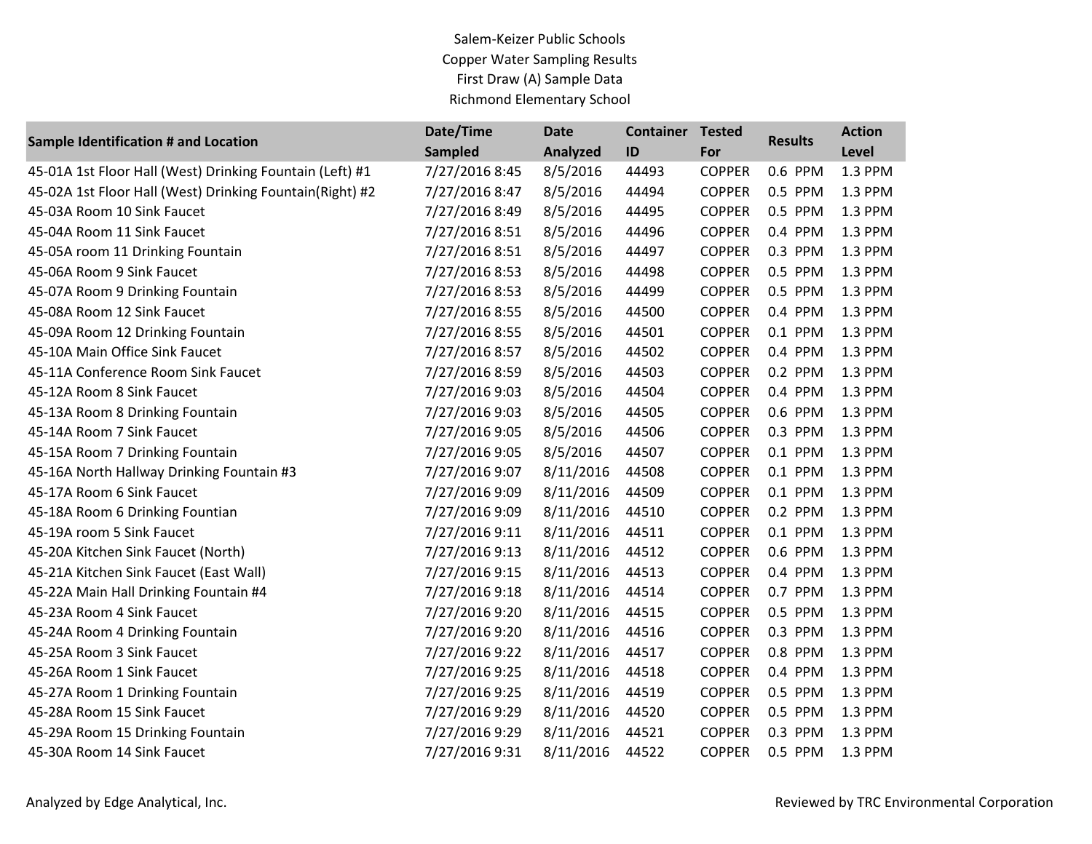Salem-Keizer Public Schools Copper Water Sampling Results First Draw (A) Sample Data Richmond Elementary School

| <b>Sample Identification # and Location</b>              | Date/Time      | <b>Date</b> | <b>Container</b> | <b>Tested</b> | <b>Results</b> | <b>Action</b> |
|----------------------------------------------------------|----------------|-------------|------------------|---------------|----------------|---------------|
|                                                          | <b>Sampled</b> | Analyzed    | ID               | For           |                | Level         |
| 45-01A 1st Floor Hall (West) Drinking Fountain (Left) #1 | 7/27/2016 8:45 | 8/5/2016    | 44493            | <b>COPPER</b> | 0.6 PPM        | 1.3 PPM       |
| 45-02A 1st Floor Hall (West) Drinking Fountain(Right) #2 | 7/27/2016 8:47 | 8/5/2016    | 44494            | <b>COPPER</b> | 0.5 PPM        | 1.3 PPM       |
| 45-03A Room 10 Sink Faucet                               | 7/27/2016 8:49 | 8/5/2016    | 44495            | <b>COPPER</b> | 0.5 PPM        | 1.3 PPM       |
| 45-04A Room 11 Sink Faucet                               | 7/27/2016 8:51 | 8/5/2016    | 44496            | <b>COPPER</b> | 0.4 PPM        | 1.3 PPM       |
| 45-05A room 11 Drinking Fountain                         | 7/27/2016 8:51 | 8/5/2016    | 44497            | <b>COPPER</b> | 0.3 PPM        | 1.3 PPM       |
| 45-06A Room 9 Sink Faucet                                | 7/27/2016 8:53 | 8/5/2016    | 44498            | <b>COPPER</b> | 0.5 PPM        | 1.3 PPM       |
| 45-07A Room 9 Drinking Fountain                          | 7/27/2016 8:53 | 8/5/2016    | 44499            | <b>COPPER</b> | 0.5 PPM        | 1.3 PPM       |
| 45-08A Room 12 Sink Faucet                               | 7/27/2016 8:55 | 8/5/2016    | 44500            | <b>COPPER</b> | 0.4 PPM        | 1.3 PPM       |
| 45-09A Room 12 Drinking Fountain                         | 7/27/2016 8:55 | 8/5/2016    | 44501            | <b>COPPER</b> | 0.1 PPM        | 1.3 PPM       |
| 45-10A Main Office Sink Faucet                           | 7/27/2016 8:57 | 8/5/2016    | 44502            | <b>COPPER</b> | 0.4 PPM        | 1.3 PPM       |
| 45-11A Conference Room Sink Faucet                       | 7/27/2016 8:59 | 8/5/2016    | 44503            | <b>COPPER</b> | 0.2 PPM        | 1.3 PPM       |
| 45-12A Room 8 Sink Faucet                                | 7/27/2016 9:03 | 8/5/2016    | 44504            | <b>COPPER</b> | 0.4 PPM        | 1.3 PPM       |
| 45-13A Room 8 Drinking Fountain                          | 7/27/2016 9:03 | 8/5/2016    | 44505            | <b>COPPER</b> | 0.6 PPM        | 1.3 PPM       |
| 45-14A Room 7 Sink Faucet                                | 7/27/2016 9:05 | 8/5/2016    | 44506            | <b>COPPER</b> | 0.3 PPM        | 1.3 PPM       |
| 45-15A Room 7 Drinking Fountain                          | 7/27/2016 9:05 | 8/5/2016    | 44507            | <b>COPPER</b> | 0.1 PPM        | 1.3 PPM       |
| 45-16A North Hallway Drinking Fountain #3                | 7/27/2016 9:07 | 8/11/2016   | 44508            | <b>COPPER</b> | 0.1 PPM        | 1.3 PPM       |
| 45-17A Room 6 Sink Faucet                                | 7/27/2016 9:09 | 8/11/2016   | 44509            | <b>COPPER</b> | 0.1 PPM        | 1.3 PPM       |
| 45-18A Room 6 Drinking Fountian                          | 7/27/2016 9:09 | 8/11/2016   | 44510            | <b>COPPER</b> | 0.2 PPM        | 1.3 PPM       |
| 45-19A room 5 Sink Faucet                                | 7/27/2016 9:11 | 8/11/2016   | 44511            | <b>COPPER</b> | 0.1 PPM        | 1.3 PPM       |
| 45-20A Kitchen Sink Faucet (North)                       | 7/27/2016 9:13 | 8/11/2016   | 44512            | <b>COPPER</b> | 0.6 PPM        | 1.3 PPM       |
| 45-21A Kitchen Sink Faucet (East Wall)                   | 7/27/2016 9:15 | 8/11/2016   | 44513            | <b>COPPER</b> | 0.4 PPM        | 1.3 PPM       |
| 45-22A Main Hall Drinking Fountain #4                    | 7/27/2016 9:18 | 8/11/2016   | 44514            | <b>COPPER</b> | 0.7 PPM        | 1.3 PPM       |
| 45-23A Room 4 Sink Faucet                                | 7/27/2016 9:20 | 8/11/2016   | 44515            | <b>COPPER</b> | 0.5 PPM        | 1.3 PPM       |
| 45-24A Room 4 Drinking Fountain                          | 7/27/2016 9:20 | 8/11/2016   | 44516            | <b>COPPER</b> | 0.3 PPM        | 1.3 PPM       |
| 45-25A Room 3 Sink Faucet                                | 7/27/2016 9:22 | 8/11/2016   | 44517            | <b>COPPER</b> | 0.8 PPM        | 1.3 PPM       |
| 45-26A Room 1 Sink Faucet                                | 7/27/2016 9:25 | 8/11/2016   | 44518            | <b>COPPER</b> | 0.4 PPM        | 1.3 PPM       |
| 45-27A Room 1 Drinking Fountain                          | 7/27/2016 9:25 | 8/11/2016   | 44519            | <b>COPPER</b> | 0.5 PPM        | 1.3 PPM       |
| 45-28A Room 15 Sink Faucet                               | 7/27/2016 9:29 | 8/11/2016   | 44520            | <b>COPPER</b> | 0.5 PPM        | 1.3 PPM       |
| 45-29A Room 15 Drinking Fountain                         | 7/27/2016 9:29 | 8/11/2016   | 44521            | <b>COPPER</b> | 0.3 PPM        | 1.3 PPM       |
| 45-30A Room 14 Sink Faucet                               | 7/27/2016 9:31 | 8/11/2016   | 44522            | <b>COPPER</b> | 0.5 PPM        | 1.3 PPM       |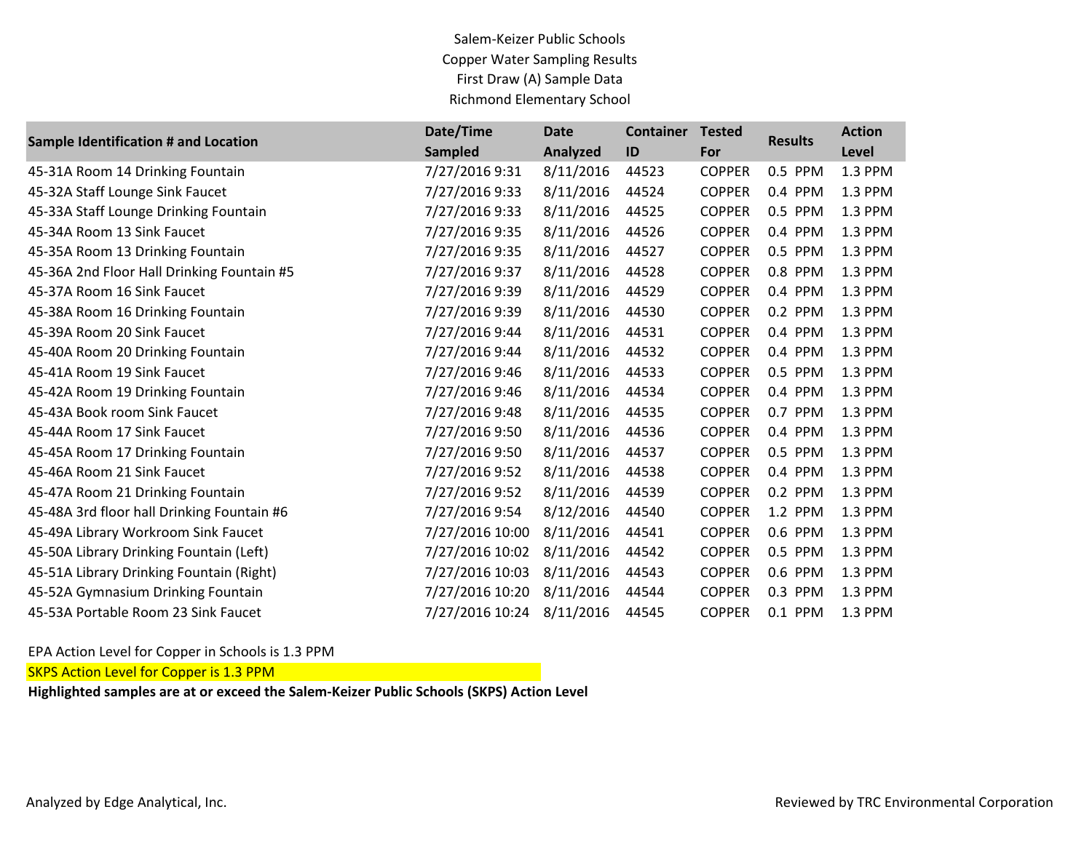Salem-Keizer Public Schools Copper Water Sampling Results First Draw (A) Sample Data Richmond Elementary School

|                                            | Date/Time       | Date      | <b>Container</b> | <b>Tested</b> | <b>Results</b> | <b>Action</b> |
|--------------------------------------------|-----------------|-----------|------------------|---------------|----------------|---------------|
| Sample Identification # and Location       | <b>Sampled</b>  | Analyzed  | ID               | For           |                | Level         |
| 45-31A Room 14 Drinking Fountain           | 7/27/2016 9:31  | 8/11/2016 | 44523            | <b>COPPER</b> | 0.5 PPM        | 1.3 PPM       |
| 45-32A Staff Lounge Sink Faucet            | 7/27/2016 9:33  | 8/11/2016 | 44524            | <b>COPPER</b> | 0.4 PPM        | 1.3 PPM       |
| 45-33A Staff Lounge Drinking Fountain      | 7/27/2016 9:33  | 8/11/2016 | 44525            | <b>COPPER</b> | 0.5 PPM        | 1.3 PPM       |
| 45-34A Room 13 Sink Faucet                 | 7/27/2016 9:35  | 8/11/2016 | 44526            | <b>COPPER</b> | 0.4 PPM        | 1.3 PPM       |
| 45-35A Room 13 Drinking Fountain           | 7/27/2016 9:35  | 8/11/2016 | 44527            | <b>COPPER</b> | 0.5 PPM        | 1.3 PPM       |
| 45-36A 2nd Floor Hall Drinking Fountain #5 | 7/27/2016 9:37  | 8/11/2016 | 44528            | <b>COPPER</b> | 0.8 PPM        | 1.3 PPM       |
| 45-37A Room 16 Sink Faucet                 | 7/27/2016 9:39  | 8/11/2016 | 44529            | <b>COPPER</b> | 0.4 PPM        | 1.3 PPM       |
| 45-38A Room 16 Drinking Fountain           | 7/27/2016 9:39  | 8/11/2016 | 44530            | <b>COPPER</b> | 0.2 PPM        | 1.3 PPM       |
| 45-39A Room 20 Sink Faucet                 | 7/27/2016 9:44  | 8/11/2016 | 44531            | <b>COPPER</b> | 0.4 PPM        | 1.3 PPM       |
| 45-40A Room 20 Drinking Fountain           | 7/27/2016 9:44  | 8/11/2016 | 44532            | <b>COPPER</b> | 0.4 PPM        | 1.3 PPM       |
| 45-41A Room 19 Sink Faucet                 | 7/27/2016 9:46  | 8/11/2016 | 44533            | <b>COPPER</b> | 0.5 PPM        | 1.3 PPM       |
| 45-42A Room 19 Drinking Fountain           | 7/27/2016 9:46  | 8/11/2016 | 44534            | <b>COPPER</b> | 0.4 PPM        | 1.3 PPM       |
| 45-43A Book room Sink Faucet               | 7/27/2016 9:48  | 8/11/2016 | 44535            | <b>COPPER</b> | 0.7 PPM        | 1.3 PPM       |
| 45-44A Room 17 Sink Faucet                 | 7/27/2016 9:50  | 8/11/2016 | 44536            | <b>COPPER</b> | 0.4 PPM        | 1.3 PPM       |
| 45-45A Room 17 Drinking Fountain           | 7/27/2016 9:50  | 8/11/2016 | 44537            | <b>COPPER</b> | 0.5 PPM        | 1.3 PPM       |
| 45-46A Room 21 Sink Faucet                 | 7/27/2016 9:52  | 8/11/2016 | 44538            | <b>COPPER</b> | 0.4 PPM        | 1.3 PPM       |
| 45-47A Room 21 Drinking Fountain           | 7/27/2016 9:52  | 8/11/2016 | 44539            | <b>COPPER</b> | 0.2 PPM        | 1.3 PPM       |
| 45-48A 3rd floor hall Drinking Fountain #6 | 7/27/2016 9:54  | 8/12/2016 | 44540            | <b>COPPER</b> | 1.2 PPM        | 1.3 PPM       |
| 45-49A Library Workroom Sink Faucet        | 7/27/2016 10:00 | 8/11/2016 | 44541            | <b>COPPER</b> | 0.6 PPM        | 1.3 PPM       |
| 45-50A Library Drinking Fountain (Left)    | 7/27/2016 10:02 | 8/11/2016 | 44542            | <b>COPPER</b> | 0.5 PPM        | 1.3 PPM       |
| 45-51A Library Drinking Fountain (Right)   | 7/27/2016 10:03 | 8/11/2016 | 44543            | <b>COPPER</b> | 0.6 PPM        | 1.3 PPM       |
| 45-52A Gymnasium Drinking Fountain         | 7/27/2016 10:20 | 8/11/2016 | 44544            | <b>COPPER</b> | 0.3 PPM        | 1.3 PPM       |
| 45-53A Portable Room 23 Sink Faucet        | 7/27/2016 10:24 | 8/11/2016 | 44545            | <b>COPPER</b> | 0.1 PPM        | 1.3 PPM       |

EPA Action Level for Copper in Schools is 1.3 PPM

**SKPS Action Level for Copper is 1.3 PPM**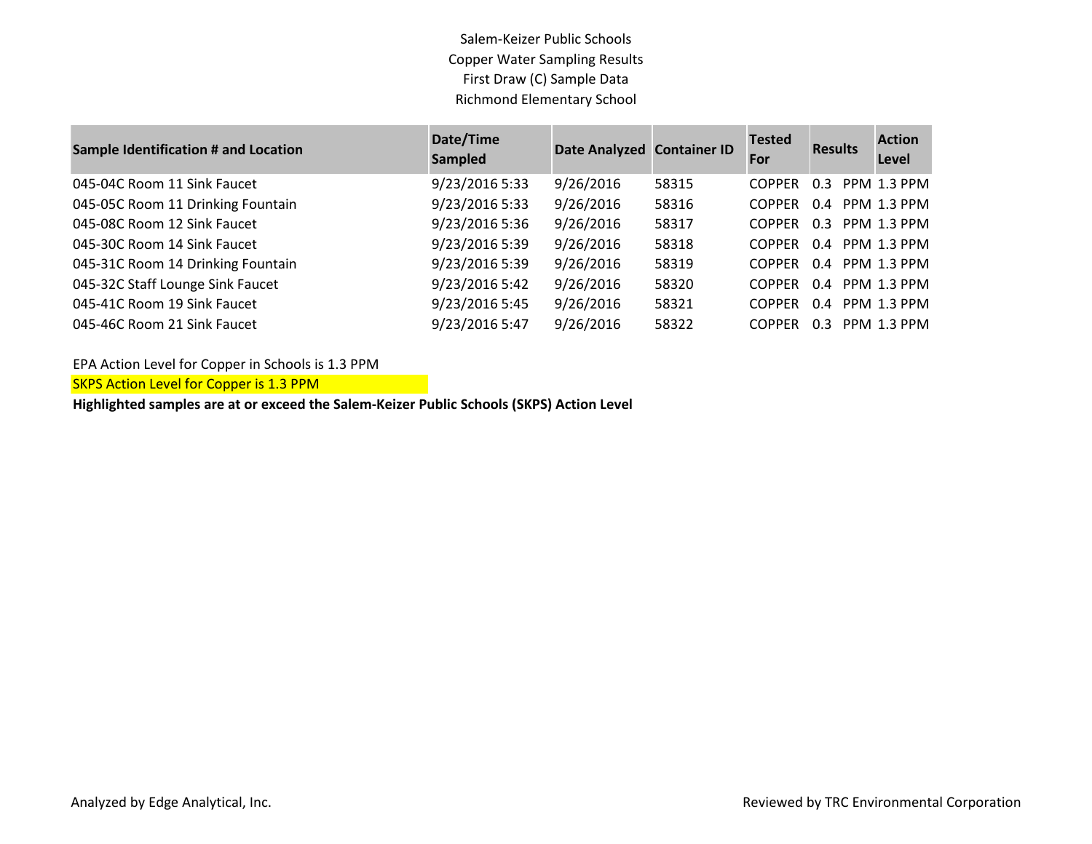Salem-Keizer Public Schools Copper Water Sampling Results First Draw (C) Sample Data Richmond Elementary School

| <b>Sample Identification # and Location</b> | Date/Time<br><b>Sampled</b> | Date Analyzed Container ID |       | <b>Tested</b><br>For | <b>Results</b> | <b>Action</b><br>Level |
|---------------------------------------------|-----------------------------|----------------------------|-------|----------------------|----------------|------------------------|
| 045-04C Room 11 Sink Faucet                 | 9/23/2016 5:33              | 9/26/2016                  | 58315 | <b>COPPER</b>        | 0.3            | PPM 1.3 PPM            |
| 045-05C Room 11 Drinking Fountain           | 9/23/2016 5:33              | 9/26/2016                  | 58316 | <b>COPPER</b>        | 0.4            | PPM 1.3 PPM            |
| 045-08C Room 12 Sink Faucet                 | 9/23/2016 5:36              | 9/26/2016                  | 58317 | <b>COPPER</b>        | $0.3 -$        | PPM 1.3 PPM            |
| 045-30C Room 14 Sink Faucet                 | 9/23/2016 5:39              | 9/26/2016                  | 58318 | <b>COPPER</b>        |                | 0.4 PPM 1.3 PPM        |
| 045-31C Room 14 Drinking Fountain           | 9/23/2016 5:39              | 9/26/2016                  | 58319 | <b>COPPER</b>        |                | 0.4 PPM 1.3 PPM        |
| 045-32C Staff Lounge Sink Faucet            | 9/23/2016 5:42              | 9/26/2016                  | 58320 | <b>COPPER</b>        |                | 0.4 PPM 1.3 PPM        |
| 045-41C Room 19 Sink Faucet                 | 9/23/2016 5:45              | 9/26/2016                  | 58321 | <b>COPPER</b>        | 0.4            | PPM 1.3 PPM            |
| 045-46C Room 21 Sink Faucet                 | 9/23/2016 5:47              | 9/26/2016                  | 58322 | <b>COPPER</b>        | 0.3            | <b>PPM 1.3 PPM</b>     |

EPA Action Level for Copper in Schools is 1.3 PPM

**SKPS Action Level for Copper is 1.3 PPM**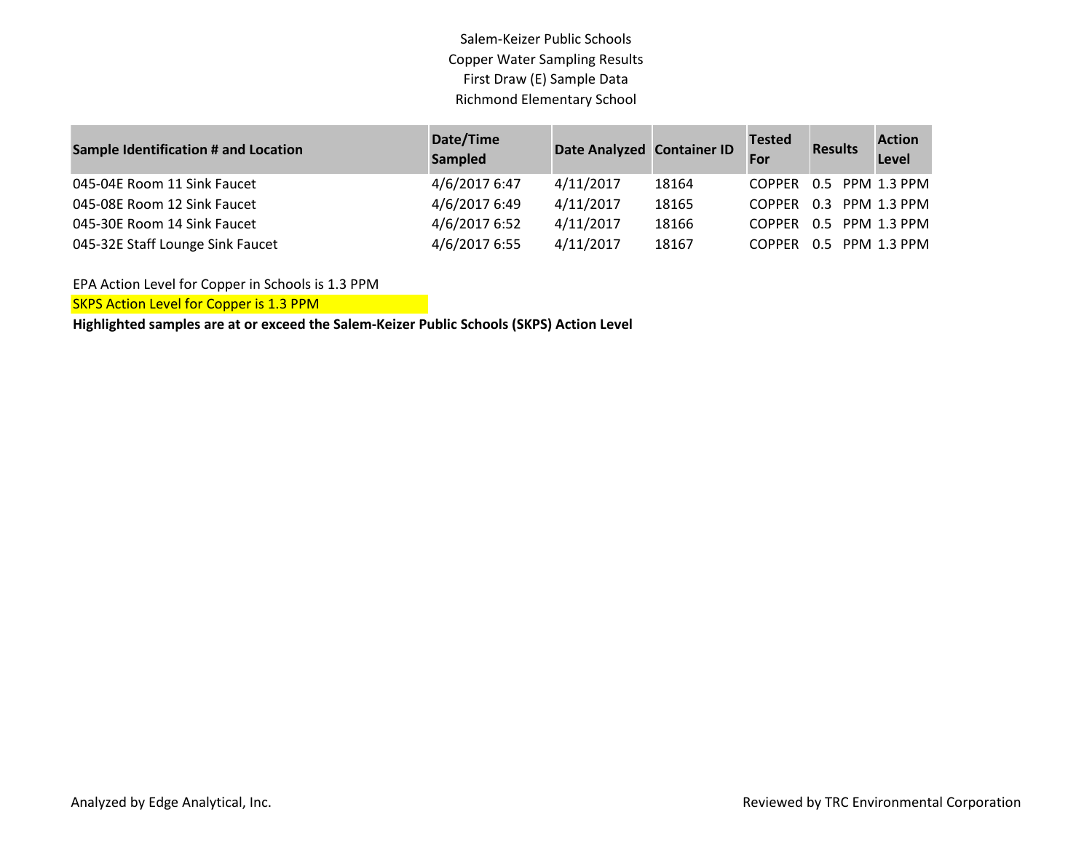Salem-Keizer Public Schools Copper Water Sampling Results First Draw (E) Sample Data Richmond Elementary School

| <b>Sample Identification # and Location</b> | Date/Time<br>Sampled | Date Analyzed Container ID |       | <b>Tested</b><br>For   | <b>Results</b> | <b>Action</b><br>Level |
|---------------------------------------------|----------------------|----------------------------|-------|------------------------|----------------|------------------------|
| 045-04E Room 11 Sink Faucet                 | 4/6/2017 6:47        | 4/11/2017                  | 18164 | COPPER 0.5 PPM 1.3 PPM |                |                        |
| 045-08E Room 12 Sink Faucet                 | 4/6/2017 6:49        | 4/11/2017                  | 18165 | COPPER 0.3 PPM 1.3 PPM |                |                        |
| 045-30E Room 14 Sink Faucet                 | 4/6/2017 6:52        | 4/11/2017                  | 18166 | COPPER 0.5 PPM 1.3 PPM |                |                        |
| 045-32E Staff Lounge Sink Faucet            | 4/6/2017 6:55        | 4/11/2017                  | 18167 | COPPER 0.5 PPM 1.3 PPM |                |                        |

EPA Action Level for Copper in Schools is 1.3 PPM

**SKPS Action Level for Copper is 1.3 PPM**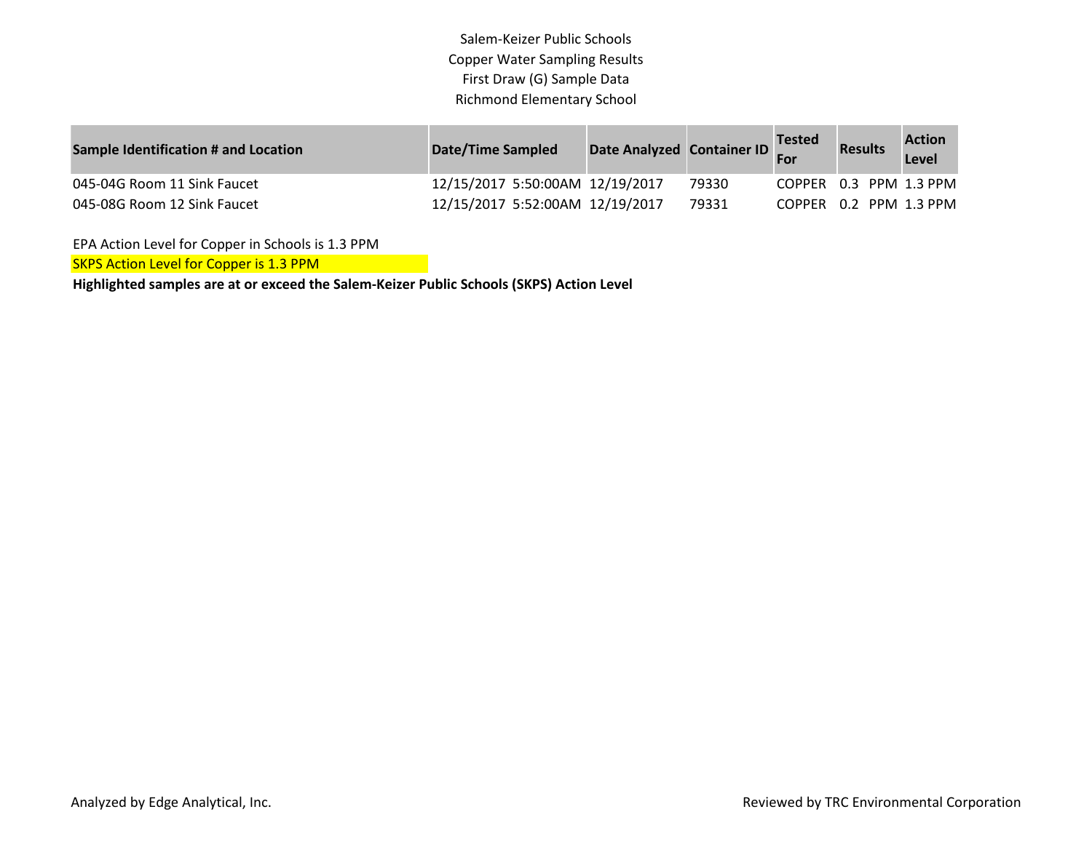Salem-Keizer Public Schools Copper Water Sampling Results First Draw (G) Sample Data Richmond Elementary School

| <b>Sample Identification # and Location</b> | <b>Date/Time Sampled</b>        | Date Analyzed Container ID |       | <b>Tested</b><br>For | <b>Results</b>         | <b>Action</b><br>Level |
|---------------------------------------------|---------------------------------|----------------------------|-------|----------------------|------------------------|------------------------|
| 045-04G Room 11 Sink Faucet                 | 12/15/2017 5:50:00AM 12/19/2017 |                            | 79330 |                      | COPPER 0.3 PPM 1.3 PPM |                        |
| 045-08G Room 12 Sink Faucet                 | 12/15/2017 5:52:00AM 12/19/2017 |                            | 79331 |                      | COPPER 0.2 PPM 1.3 PPM |                        |

EPA Action Level for Copper in Schools is 1.3 PPM

SKPS Action Level for Copper is 1.3 PPM